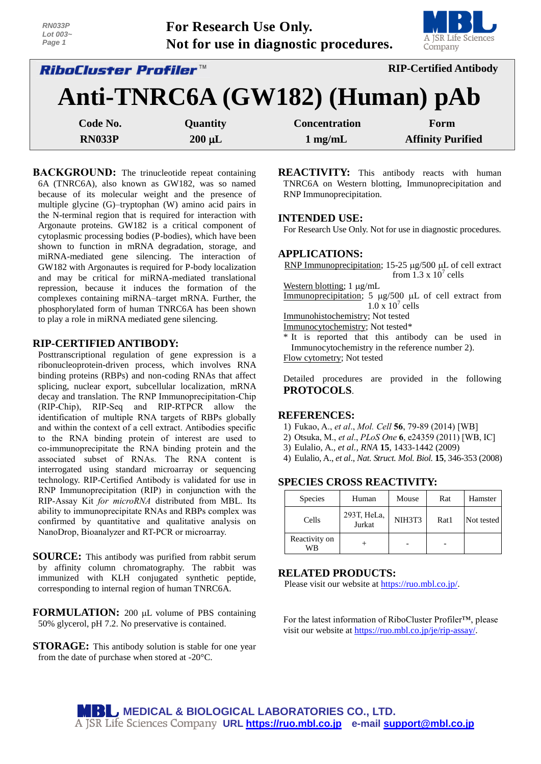| <i>RiboCluster Profiler™</i> |                                       |  | <b>RIP-Certified Antibody</b>  |
|------------------------------|---------------------------------------|--|--------------------------------|
| Page 1                       | Not for use in diagnostic procedures. |  | A JSR Life Sciences<br>Company |
| RN033P<br>Lot $003-$         | <b>For Research Use Only.</b>         |  | MBI U                          |

| NIJIJIJIJI ITI ITI UNIJIJI<br><b>AMI Celulicu</b> Initiout |                 |                      |                          |  |  |  |
|------------------------------------------------------------|-----------------|----------------------|--------------------------|--|--|--|
| Anti-TNRC6A (GW182) (Human) pAb                            |                 |                      |                          |  |  |  |
| Code No.                                                   | <b>Quantity</b> | <b>Concentration</b> | Form                     |  |  |  |
| <b>RN033P</b>                                              | $200 \mu L$     | $1 \text{ mg/mL}$    | <b>Affinity Purified</b> |  |  |  |

**BACKGROUND:** The trinucleotide repeat containing 6A (TNRC6A), also known as GW182, was so named because of its molecular weight and the presence of multiple glycine (G)–tryptophan (W) amino acid pairs in the N-terminal region that is required for interaction with Argonaute proteins. GW182 is a critical component of cytoplasmic processing bodies (P-bodies), which have been shown to function in mRNA degradation, storage, and miRNA-mediated gene silencing. The interaction of GW182 with Argonautes is required for P-body localization and may be critical for miRNA-mediated translational repression, because it induces the formation of the complexes containing miRNA–target mRNA. Further, the phosphorylated form of human TNRC6A has been shown to play a role in miRNA mediated gene silencing.

# **RIP-CERTIFIED ANTIBODY:**

Posttranscriptional regulation of gene expression is a ribonucleoprotein-driven process, which involves RNA binding proteins (RBPs) and non-coding RNAs that affect splicing, nuclear export, subcellular localization, mRNA decay and translation. The RNP Immunoprecipitation-Chip (RIP-Chip), RIP-Seq and RIP-RTPCR allow the identification of multiple RNA targets of RBPs globally and within the context of a cell extract. Antibodies specific to the RNA binding protein of interest are used to co-immunoprecipitate the RNA binding protein and the associated subset of RNAs. The RNA content is interrogated using standard microarray or sequencing technology. RIP-Certified Antibody is validated for use in RNP Immunoprecipitation (RIP) in conjunction with the RIP-Assay Kit *for microRNA* distributed from MBL. Its ability to immunoprecipitate RNAs and RBPs complex was confirmed by quantitative and qualitative analysis on NanoDrop, Bioanalyzer and RT-PCR or microarray.

**SOURCE:** This antibody was purified from rabbit serum by affinity column chromatography. The rabbit was immunized with KLH conjugated synthetic peptide, corresponding to internal region of human TNRC6A.

**FORMULATION:** 200 µL volume of PBS containing 50% glycerol, pH 7.2. No preservative is contained.

**STORAGE:** This antibody solution is stable for one year from the date of purchase when stored at -20°C.

**REACTIVITY:** This antibody reacts with human TNRC6A on Western blotting, Immunoprecipitation and RNP Immunoprecipitation.

## **INTENDED USE:**

For Research Use Only. Not for use in diagnostic procedures.

## **APPLICATIONS:**

RNP Immunoprecipitation;  $15-25 \mu g/500 \mu L$  of cell extract from  $1.3 \times 10^7$  cells

Western blotting;  $1 \mu g/mL$ 

Immunoprecipitation;  $5 \mu g/500 \mu L$  of cell extract from  $1.0 \times 10^7$  cells

Immunohistochemistry; Not tested

Immunocytochemistry; Not tested\*

\* It is reported that this antibody can be used in Immunocytochemistry in the reference number 2).

Flow cytometry; Not tested

Detailed procedures are provided in the following **PROTOCOLS**.

#### **REFERENCES:**

- 1) Fukao, A., *et al*., *Mol. Cell* **56**, 79-89 (2014) [WB]
- 2) Otsuka, M., *et al*., *PLoS One* **6**, e24359 (2011) [WB, IC]
- 3) Eulalio, A., *et al., RNA* **15**, 1433-1442 (2009)
- 4) Eulalio, A., *et al*., *Nat. Struct. Mol. Biol.* **15**, 346-353 (2008)

## **SPECIES CROSS REACTIVITY:**

| <b>Species</b>      | Human                 | Mouse  | Rat  | Hamster    |
|---------------------|-----------------------|--------|------|------------|
| Cells               | 293T, HeLa,<br>Jurkat | NIH3T3 | Rat1 | Not tested |
| Reactivity on<br>WB |                       |        |      |            |

## **RELATED PRODUCTS:**

Please visit our website at [https://ruo.mbl.co.jp/.](https://ruo.mbl.co.jp/)

For the latest information of RiboCluster Profiler™, please visit our website at [https://ruo.mbl.co.jp/je/rip-assay/.](https://ruo.mbl.co.jp/je/rip-assay/)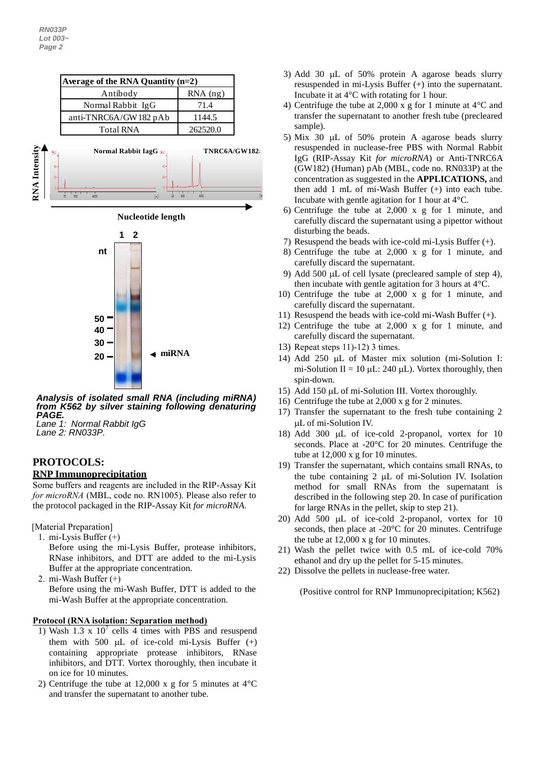



## *Analysis of isolated small RNA (including miRNA) from K562 by silver staining following denaturing PAGE.*

*Lane 1: Normal Rabbit IgG Lane 2: RN033P.*

# **PROTOCOLS:**

# **RNP Immunoprecipitation**

Some buffers and reagents are included in the RIP-Assay Kit *for microRNA* (MBL, code no. RN1005). Please also refer to the protocol packaged in the RIP-Assay Kit *for microRNA*.

[Material Preparation]

- 1. mi-Lysis Buffer (+) Before using the mi-Lysis Buffer, protease inhibitors, RNase inhibitors, and DTT are added to the mi-Lysis Buffer at the appropriate concentration.
- 2. mi-Wash Buffer (+) Before using the mi-Wash Buffer, DTT is added to the mi-Wash Buffer at the appropriate concentration.

## **Protocol (RNA isolation: Separation method)**

- 1) Wash  $1.3 \times 10^7$  cells 4 times with PBS and resuspend them with 500  $\mu$ L of ice-cold mi-Lysis Buffer  $(+)$ containing appropriate protease inhibitors, RNase inhibitors, and DTT. Vortex thoroughly, then incubate it on ice for 10 minutes.
- 2) Centrifuge the tube at 12,000 x g for 5 minutes at 4°C and transfer the supernatant to another tube.
- 3) Add 30  $\mu$ L of 50% protein A agarose beads slurry resuspended in mi-Lysis Buffer (+) into the supernatant. Incubate it at 4°C with rotating for 1 hour.
- 4) Centrifuge the tube at 2,000 x g for 1 minute at 4°C and transfer the supernatant to another fresh tube (precleared sample).
- 5) Mix 30  $\mu$ L of 50% protein A agarose beads slurry resuspended in nuclease-free PBS with Normal Rabbit IgG (RIP-Assay Kit *for microRNA*) or Anti-TNRC6A (GW182) (Human) pAb (MBL, code no. RN033P) at the concentration as suggested in the **APPLICATIONS,** and then add 1 mL of mi-Wash Buffer (+) into each tube. Incubate with gentle agitation for 1 hour at 4°C.
- 6) Centrifuge the tube at 2,000 x g for 1 minute, and carefully discard the supernatant using a pipettor without disturbing the beads.
- 7) Resuspend the beads with ice-cold mi-Lysis Buffer (+).
- 8) Centrifuge the tube at 2,000 x g for 1 minute, and carefully discard the supernatant.
- 9) Add 500  $\mu$ L of cell lysate (precleared sample of step 4), then incubate with gentle agitation for 3 hours at 4°C.
- 10) Centrifuge the tube at 2,000 x g for 1 minute, and carefully discard the supernatant.
- 11) Resuspend the beads with ice-cold mi-Wash Buffer (+).
- 12) Centrifuge the tube at 2,000 x g for 1 minute, and carefully discard the supernatant.
- 13) Repeat steps 11)-12) 3 times.
- 14) Add 250  $\mu$ L of Master mix solution (mi-Solution I: mi-Solution II = 10  $\mu$ L: 240  $\mu$ L). Vortex thoroughly, then spin-down.
- 15) Add 150  $\mu$ L of mi-Solution III. Vortex thoroughly.
- 16) Centrifuge the tube at 2,000 x g for 2 minutes.
- 17) Transfer the supernatant to the fresh tube containing 2 L of mi-Solution IV.
- 18) Add 300 µL of ice-cold 2-propanol, vortex for 10 seconds. Place at -20°C for 20 minutes. Centrifuge the tube at 12,000 x g for 10 minutes.
- 19) Transfer the supernatant, which contains small RNAs, to the tube containing  $2 \mu L$  of mi-Solution IV. Isolation method for small RNAs from the supernatant is described in the following step 20. In case of purification for large RNAs in the pellet, skip to step 21).
- 20) Add 500  $\mu$ L of ice-cold 2-propanol, vortex for 10 seconds, then place at -20°C for 20 minutes. Centrifuge the tube at 12,000 x g for 10 minutes.
- 21) Wash the pellet twice with 0.5 mL of ice-cold 70% ethanol and dry up the pellet for 5-15 minutes.
- 22) Dissolve the pellets in nuclease-free water.

(Positive control for RNP Immunoprecipitation; K562)